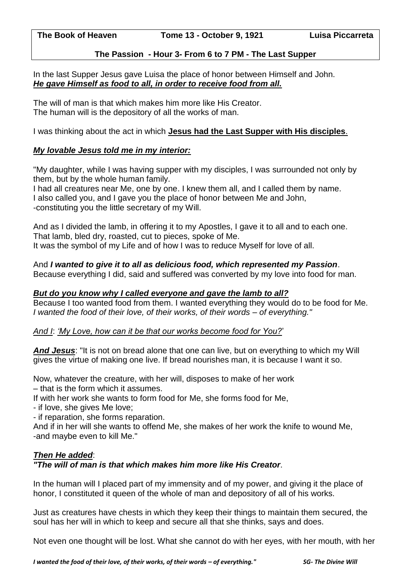# **The Passion - Hour 3- From 6 to 7 PM - The Last Supper**

In the last Supper Jesus gave Luisa the place of honor between Himself and John. *He gave Himself as food to all, in order to receive food from all.* 

The will of man is that which makes him more like His Creator. The human will is the depository of all the works of man.

I was thinking about the act in which **Jesus had the Last Supper with His disciples**.

# *My lovable Jesus told me in my interior:*

"My daughter, while I was having supper with my disciples, I was surrounded not only by them, but by the whole human family.

I had all creatures near Me, one by one. I knew them all, and I called them by name. I also called you, and I gave you the place of honor between Me and John, -constituting you the little secretary of my Will.

And as I divided the lamb, in offering it to my Apostles, I gave it to all and to each one. That lamb, bled dry, roasted, cut to pieces, spoke of Me. It was the symbol of my Life and of how I was to reduce Myself for love of all.

# And *I wanted to give it to all as delicious food, which represented my Passion*.

Because everything I did, said and suffered was converted by my love into food for man.

# *But do you know why I called everyone and gave the lamb to all?*

Because I too wanted food from them. I wanted everything they would do to be food for Me. *I wanted the food of their love, of their works, of their words – of everything."*

# *And I*: *'My Love, how can it be that our works become food for You?*'

*And Jesus*: "It is not on bread alone that one can live, but on everything to which my Will gives the virtue of making one live. If bread nourishes man, it is because I want it so.

Now, whatever the creature, with her will, disposes to make of her work – that is the form which it assumes.

If with her work she wants to form food for Me, she forms food for Me,

- if love, she gives Me love;

- if reparation, she forms reparation.

And if in her will she wants to offend Me, she makes of her work the knife to wound Me, -and maybe even to kill Me."

# *Then He added*:

# *"The will of man is that which makes him more like His Creator*.

In the human will I placed part of my immensity and of my power, and giving it the place of honor, I constituted it queen of the whole of man and depository of all of his works.

Just as creatures have chests in which they keep their things to maintain them secured, the soul has her will in which to keep and secure all that she thinks, says and does.

Not even one thought will be lost. What she cannot do with her eyes, with her mouth, with her